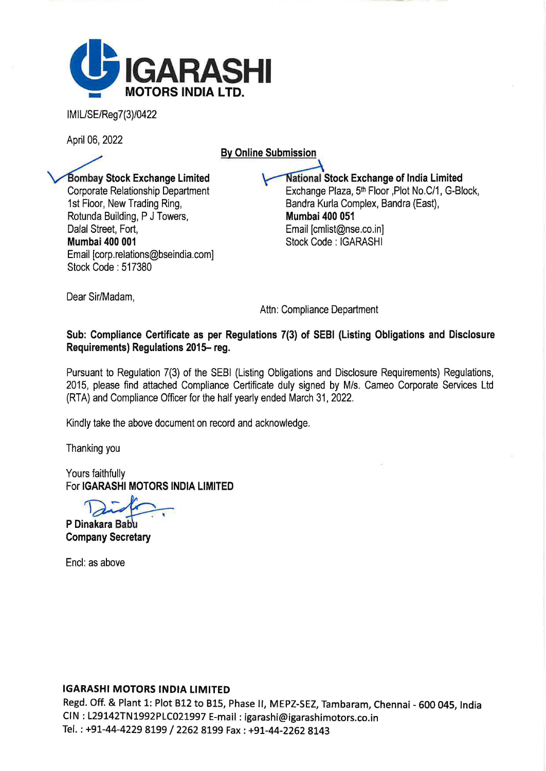

IMIL/SE/Reg7(3)/0422

April 06, 2022

By Online Submission

Bombay Stock Exchange Limited Corporate Relationship Department 1st Floor, New Trading Ring, Rotunda Building, P J Towers, Dalal Street, Fort, Mumbai 400 001 Email [corp.relations@bseindia.com] Stock Code : 517380

**National Stock Exchange of India Limited** Exchange Plaza, 5<sup>th</sup> Floor ,Plot No.C/1, G-Block, Bandra Kurla Complex, Sandra (East), Mumbai 400 051 Email [cmlist@nse.co.in] Stock Code : IGARASHI

Dear Sir/Madam,

Attn: Compliance Department

Sub: Compliance Certificate as per Regulations 7(3) of SEBI (Listing Obligations and Disclosure Requirements) Regulations 2015- reg.

Pursuant to Regulation 7(3) of the SEBI (Listing Obligations and Disclosure Requirements) Regulations, 2015, please find attached Compliance Certificate duly signed by M/s. Cameo Corporate Services Ltd (RTA) and Compliance Officer for the half yearly ended March 31, 2022.

Kindly take the above document on record and acknowledge.

Thanking you

Yours faithfully For IGARASHI MOTORS INDIA LIMITED

 $\lambda$ 

P Dinakara Babu Company Secretary

Encl: as above

## IGARASHI MOTORS INDIA LIMITED

Regd. Off. & Plant 1: Plot 812 to 815, Phase II, MEPZ-SEZ, Tambaram, Chennai - 600 045, India CIN : L29142TN1992PLC021997 E-mail: igarashi@igarashimotors.co.in Tel.: +91-44-4229 8199 / 2262 8199 Fax: +91-44-2262 8143